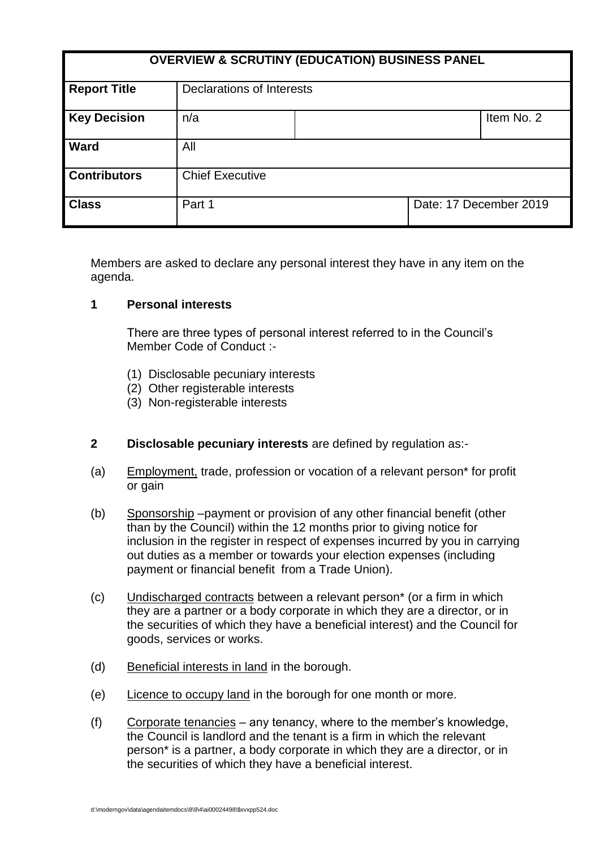| <b>OVERVIEW &amp; SCRUTINY (EDUCATION) BUSINESS PANEL</b> |                           |  |                        |            |
|-----------------------------------------------------------|---------------------------|--|------------------------|------------|
| <b>Report Title</b>                                       | Declarations of Interests |  |                        |            |
| <b>Key Decision</b>                                       | n/a                       |  |                        | Item No. 2 |
| <b>Ward</b>                                               | All                       |  |                        |            |
| <b>Contributors</b>                                       | <b>Chief Executive</b>    |  |                        |            |
| <b>Class</b>                                              | Part 1                    |  | Date: 17 December 2019 |            |

Members are asked to declare any personal interest they have in any item on the agenda.

### **1 Personal interests**

There are three types of personal interest referred to in the Council's Member Code of Conduct :-

- (1) Disclosable pecuniary interests
- (2) Other registerable interests
- (3) Non-registerable interests
- **2 Disclosable pecuniary interests** are defined by regulation as:-
- (a) Employment, trade, profession or vocation of a relevant person\* for profit or gain
- (b) Sponsorship –payment or provision of any other financial benefit (other than by the Council) within the 12 months prior to giving notice for inclusion in the register in respect of expenses incurred by you in carrying out duties as a member or towards your election expenses (including payment or financial benefit from a Trade Union).
- (c) Undischarged contracts between a relevant person\* (or a firm in which they are a partner or a body corporate in which they are a director, or in the securities of which they have a beneficial interest) and the Council for goods, services or works.
- (d) Beneficial interests in land in the borough.
- (e) Licence to occupy land in the borough for one month or more.
- (f) Corporate tenancies any tenancy, where to the member's knowledge, the Council is landlord and the tenant is a firm in which the relevant person\* is a partner, a body corporate in which they are a director, or in the securities of which they have a beneficial interest.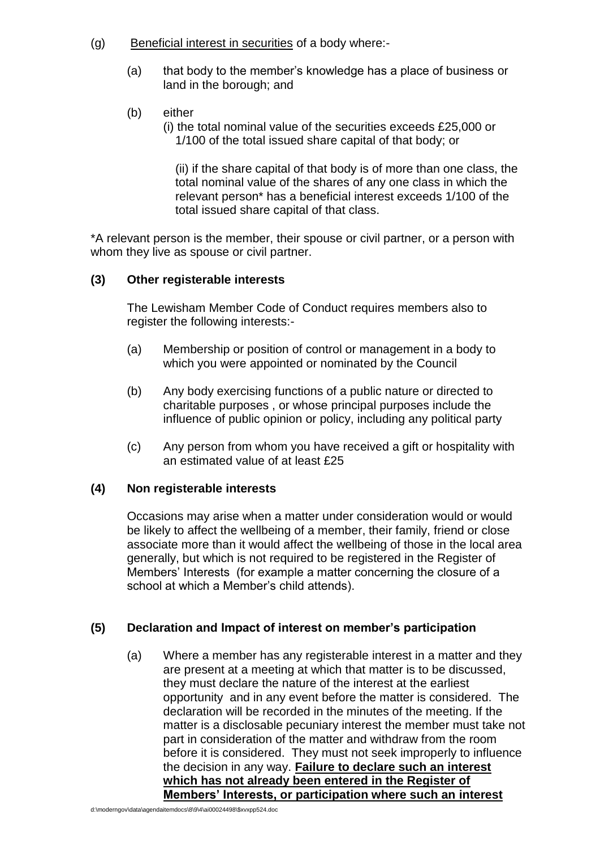- (g) Beneficial interest in securities of a body where:-
	- (a) that body to the member's knowledge has a place of business or land in the borough; and
	- (b) either
		- (i) the total nominal value of the securities exceeds £25,000 or 1/100 of the total issued share capital of that body; or

(ii) if the share capital of that body is of more than one class, the total nominal value of the shares of any one class in which the relevant person\* has a beneficial interest exceeds 1/100 of the total issued share capital of that class.

\*A relevant person is the member, their spouse or civil partner, or a person with whom they live as spouse or civil partner.

### **(3) Other registerable interests**

The Lewisham Member Code of Conduct requires members also to register the following interests:-

- (a) Membership or position of control or management in a body to which you were appointed or nominated by the Council
- (b) Any body exercising functions of a public nature or directed to charitable purposes , or whose principal purposes include the influence of public opinion or policy, including any political party
- (c) Any person from whom you have received a gift or hospitality with an estimated value of at least £25

# **(4) Non registerable interests**

Occasions may arise when a matter under consideration would or would be likely to affect the wellbeing of a member, their family, friend or close associate more than it would affect the wellbeing of those in the local area generally, but which is not required to be registered in the Register of Members' Interests (for example a matter concerning the closure of a school at which a Member's child attends).

# **(5) Declaration and Impact of interest on member's participation**

(a) Where a member has any registerable interest in a matter and they are present at a meeting at which that matter is to be discussed, they must declare the nature of the interest at the earliest opportunity and in any event before the matter is considered. The declaration will be recorded in the minutes of the meeting. If the matter is a disclosable pecuniary interest the member must take not part in consideration of the matter and withdraw from the room before it is considered. They must not seek improperly to influence the decision in any way. **Failure to declare such an interest which has not already been entered in the Register of Members' Interests, or participation where such an interest**